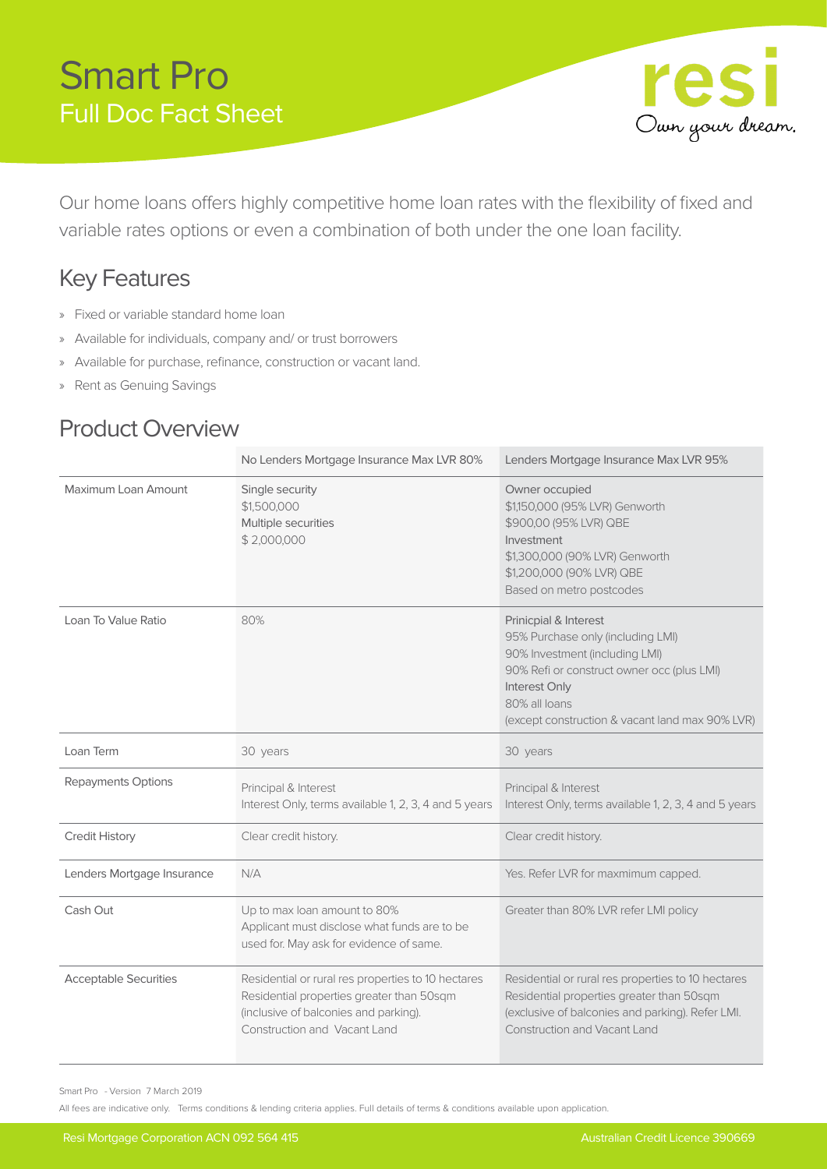## Smart Pro Full Doc Fact Sheet



Our home loans offers highly competitive home loan rates with the flexibility of fixed and variable rates options or even a combination of both under the one loan facility.

## Key Features

- » Fixed or variable standard home loan
- » Available for individuals, company and/ or trust borrowers
- » Available for purchase, refinance, construction or vacant land.
- » Rent as Genuing Savings

#### Product Overview

|                              | No Lenders Mortgage Insurance Max LVR 80%                                                                                                                                | Lenders Mortgage Insurance Max LVR 95%                                                                                                                                                                                          |
|------------------------------|--------------------------------------------------------------------------------------------------------------------------------------------------------------------------|---------------------------------------------------------------------------------------------------------------------------------------------------------------------------------------------------------------------------------|
| Maximum Loan Amount          | Single security<br>\$1,500,000<br>Multiple securities<br>\$2,000,000                                                                                                     | Owner occupied<br>\$1,150,000 (95% LVR) Genworth<br>\$900,00 (95% LVR) QBE<br>Investment<br>\$1,300,000 (90% LVR) Genworth<br>\$1,200,000 (90% LVR) QBE<br>Based on metro postcodes                                             |
| Loan To Value Ratio          | 80%                                                                                                                                                                      | Prinicpial & Interest<br>95% Purchase only (including LMI)<br>90% Investment (including LMI)<br>90% Refi or construct owner occ (plus LMI)<br>Interest Only<br>80% all loans<br>(except construction & vacant land max 90% LVR) |
| Loan Term                    | 30 years                                                                                                                                                                 | 30 years                                                                                                                                                                                                                        |
| Repayments Options           | Principal & Interest<br>Interest Only, terms available 1, 2, 3, 4 and 5 years                                                                                            | Principal & Interest<br>Interest Only, terms available 1, 2, 3, 4 and 5 years                                                                                                                                                   |
| <b>Credit History</b>        | Clear credit history.                                                                                                                                                    | Clear credit history.                                                                                                                                                                                                           |
| Lenders Mortgage Insurance   | N/A                                                                                                                                                                      | Yes. Refer LVR for maxmimum capped.                                                                                                                                                                                             |
| Cash Out                     | Up to max loan amount to 80%<br>Applicant must disclose what funds are to be<br>used for. May ask for evidence of same.                                                  | Greater than 80% LVR refer LMI policy                                                                                                                                                                                           |
| <b>Acceptable Securities</b> | Residential or rural res properties to 10 hectares<br>Residential properties greater than 50sqm<br>(inclusive of balconies and parking).<br>Construction and Vacant Land | Residential or rural res properties to 10 hectares<br>Residential properties greater than 50sqm<br>(exclusive of balconies and parking). Refer LMI.<br><b>Construction and Vacant Land</b>                                      |

Smart Pro - Version 7 March 2019

All fees are indicative only. Terms conditions & lending criteria applies. Full details of terms & conditions available upon application.